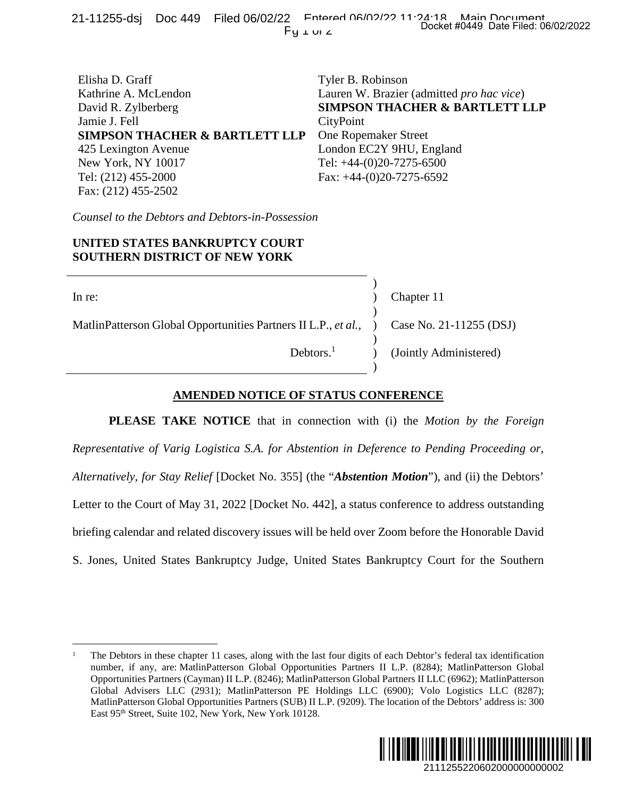| Elisha D. Graff                           | Tyler B. Robinson                                 |
|-------------------------------------------|---------------------------------------------------|
| Kathrine A. McLendon                      | Lauren W. Brazier (admitted <i>pro hac vice</i> ) |
| David R. Zylberberg                       | <b>SIMPSON THACHER &amp; BARTLETT LLP</b>         |
| Jamie J. Fell                             | CityPoint                                         |
| <b>SIMPSON THACHER &amp; BARTLETT LLP</b> | <b>One Ropemaker Street</b>                       |
| 425 Lexington Avenue                      | London EC2Y 9HU, England                          |
| New York, NY 10017                        | Tel: $+44-(0)20-7275-6500$                        |
| Tel: (212) 455-2000                       | Fax: $+44-(0)20-7275-6592$                        |
| Fax: (212) 455-2502                       |                                                   |

*Counsel to the Debtors and Debtors-in-Possession*

## **UNITED STATES BANKRUPTCY COURT SOUTHERN DISTRICT OF NEW YORK**

| In re:                                                                                   |                       | Chapter 11             |
|------------------------------------------------------------------------------------------|-----------------------|------------------------|
|                                                                                          |                       |                        |
| MatlinPatterson Global Opportunities Partners II L.P., et al., ) Case No. 21-11255 (DSJ) |                       |                        |
|                                                                                          |                       |                        |
|                                                                                          | Debtors. <sup>1</sup> | (Jointly Administered) |
|                                                                                          |                       |                        |

## **AMENDED NOTICE OF STATUS CONFERENCE**

**PLEASE TAKE NOTICE** that in connection with (i) the *Motion by the Foreign Representative of Varig Logistica S.A. for Abstention in Deference to Pending Proceeding or, Alternatively, for Stay Relief* [Docket No. 355] (the "*Abstention Motion*"), and (ii) the Debtors' Letter to the Court of May 31, 2022 [Docket No. 442], a status conference to address outstanding briefing calendar and related discovery issues will be held over Zoom before the Honorable David S. Jones, United States Bankruptcy Judge, United States Bankruptcy Court for the Southern Docket #0449 Date Filed: 06/02/2022<br>
dmitted *pro hac vice*)<br> **ER & BARTLETT LLP**<br>
et<br>
England<br>
6500<br>
6592<br>
Per 11<br>
No. 21-11255 (DSJ)<br>
y Administered)<br>
N<u>CE</u><br>
Motion by the Foreign<br>
Pending Proceeding or,<br>
n''), and (ii)

<sup>1</sup> The Debtors in these chapter 11 cases, along with the last four digits of each Debtor's federal tax identification number, if any, are: MatlinPatterson Global Opportunities Partners II L.P. (8284); MatlinPatterson Global Opportunities Partners (Cayman) II L.P. (8246); MatlinPatterson Global Partners II LLC (6962); MatlinPatterson Global Advisers LLC (2931); MatlinPatterson PE Holdings LLC (6900); Volo Logistics LLC (8287); MatlinPatterson Global Opportunities Partners (SUB) II L.P. (9209). The location of the Debtors' address is: 300 East 95<sup>th</sup> Street, Suite 102, New York, New York 10128.